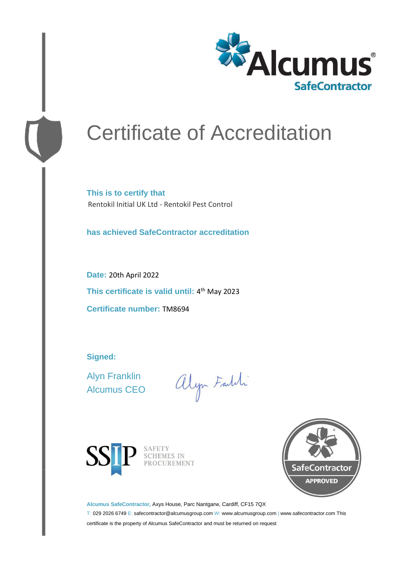

# Certificate of Accreditation

**This is to certify that** Rentokil Initial UK Ltd - Rentokil Pest Control

**has achieved SafeContractor accreditation**

**Date:** 20th April 2022 **This certificate is valid until:** 4 th May 2023 **Certificate number:** TM8694

**Signed:**

Alyn Franklin Alcumus CEO

alyn Faith



SAFETY<br>SCHEMES IN<br>PROCUREMENT



**Alcumus SafeContractor,** Axys House, Parc Nantgarw, Cardiff, CF15 7QX

T: 029 2026 6749 E: safecontractor@alcumusgroup.com W: www.alcumusgroup.com | www.safecontractor.com This certificate is the property of Alcumus SafeContractor and must be returned on request